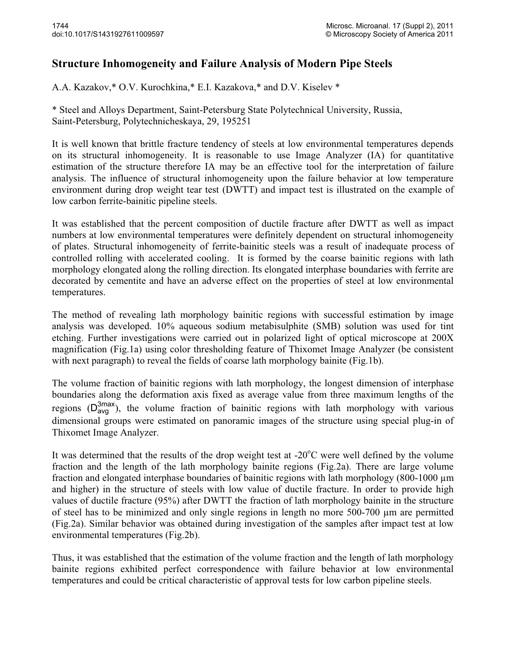## **Structure Inhomogeneity and Failure Analysis of Modern Pipe Steels**

A.A. Kazakov,\* O.V. Kurochkina,\* E.I. Kazakova,\* and D.V. Kiselev \*

\* Steel and Alloys Department, Saint-Petersburg State Polytechnical University, Russia, Saint-Petersburg, Polytechnicheskaya, 29, 195251

It is well known that brittle fracture tendency of steels at low environmental temperatures depends on its structural inhomogeneity. It is reasonable to use Image Analyzer (IA) for quantitative estimation of the structure therefore IA may be an effective tool for the interpretation of failure analysis. The influence of structural inhomogeneity upon the failure behavior at low temperature environment during drop weight tear test (DWTT) and impact test is illustrated on the example of low carbon ferrite-bainitic pipeline steels.

It was established that the percent composition of ductile fracture after DWTT as well as impact numbers at low environmental temperatures were definitely dependent on structural inhomogeneity of plates. Structural inhomogeneity of ferrite-bainitic steels was a result of inadequate process of controlled rolling with accelerated cooling. It is formed by the coarse bainitic regions with lath morphology elongated along the rolling direction. Its elongated interphase boundaries with ferrite are decorated by cementite and have an adverse effect on the properties of steel at low environmental temperatures.

The method of revealing lath morphology bainitic regions with successful estimation by image analysis was developed. 10% aqueous sodium metabisulphite (SMB) solution was used for tint etching. Further investigations were carried out in polarized light of optical microscope at 200X magnification (Fig.1a) using color thresholding feature of Thixomet Image Analyzer (be consistent with next paragraph) to reveal the fields of coarse lath morphology bainite (Fig.1b).

The volume fraction of bainitic regions with lath morphology, the longest dimension of interphase boundaries along the deformation axis fixed as average value from three maximum lengths of the regions  $(D_{avg}^{3max})$ , the volume fraction of bainitic regions with lath morphology with various dimensional groups were estimated on papermia images of the structure using special plug in of dimensional groups were estimated on panoramic images of the structure using special plug-in of Thixomet Image Analyzer.

It was determined that the results of the drop weight test at -20°C were well defined by the volume fraction and the length of the lath morphology bainite regions (Fig.2a). There are large volume fraction and elongated interphase boundaries of bainitic regions with lath morphology (800-1000 μm and higher) in the structure of steels with low value of ductile fracture. In order to provide high values of ductile fracture (95%) after DWTT the fraction of lath morphology bainite in the structure of steel has to be minimized and only single regions in length no more 500-700 μm are permitted (Fig.2a). Similar behavior was obtained during investigation of the samples after impact test at low environmental temperatures (Fig.2b).

Thus, it was established that the estimation of the volume fraction and the length of lath morphology bainite regions exhibited perfect correspondence with failure behavior at low environmental temperatures and could be critical characteristic of approval tests for low carbon pipeline steels.